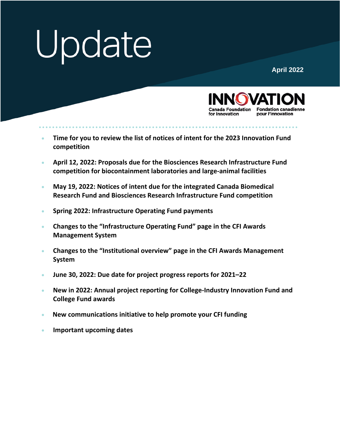**April 2022**



- **[Time for you to review the list of notices of intent for the 2023 Innovation Fund](#page-1-0) [competition](#page-1-0)**
- **April 12, 2022: [Proposals due for the Biosciences Research Infrastructure Fund](#page-2-0) [competition for biocontainment laboratories and large-animal facilities](#page-2-0)**
- **May 19, 2022: [Notices of intent due for the integrated Canada Biomedical](#page-2-1) [Research Fund and Biosciences Research Infrastructure Fund competition](#page-2-1)**
- **Spring 2022: [Infrastructure Operating Fund payments](#page-3-0)**
- **[Changes to the "Infrastructure Operating Fund" page in the CFI Awards](#page-3-1) [Management System](#page-3-1)**
- **[Changes to the "Institutional overview" page in the CFI Awards Management](#page-3-2) [System](#page-3-2)**
- **[June 30, 2022: Due date for project progress reports for 2021–22](#page-4-0)**
- **[New in 2022: Annual project reporting for College-Industry Innovation Fund and](#page-5-0) [College Fund awards](#page-5-0)**
- **[New communications initiative to help promote your](#page-5-1) CFI funding**
- **[Important upcoming dates](#page-6-0)**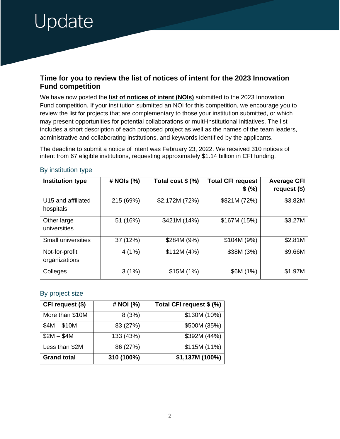#### <span id="page-1-0"></span>**Time for you to review the list of notices of intent for the 2023 Innovation Fund competition**

We have now posted the **[list of notices of intent \(NOIs\)](https://www.innovation.ca/apply-manage-awards/funding-opportunities/innovation-fund#tab-application-process)** submitted to the 2023 Innovation Fund competition. If your institution submitted an NOI for this competition, we encourage you to review the list for projects that are complementary to those your institution submitted, or which may present opportunities for potential collaborations or multi-institutional initiatives. The list includes a short description of each proposed project as well as the names of the team leaders, administrative and collaborating institutions, and keywords identified by the applicants.

The deadline to submit a notice of intent was February 23, 2022. We received 310 notices of intent from 67 eligible institutions, requesting approximately \$1.14 billion in CFI funding.

| <b>Institution type</b>         | # NOIs (%) | Total cost $$(\%)$ | <b>Total CFI request</b><br>\$ (%) | <b>Average CFI</b><br>request $($)$ |
|---------------------------------|------------|--------------------|------------------------------------|-------------------------------------|
| U15 and affiliated<br>hospitals | 215 (69%)  | \$2,172M (72%)     | \$821M (72%)                       | \$3.82M                             |
| Other large<br>universities     | 51 (16%)   | \$421M (14%)       | \$167M (15%)                       | \$3.27M                             |
| <b>Small universities</b>       | 37 (12%)   | \$284M (9%)        | \$104M (9%)                        | \$2.81M                             |
| Not-for-profit<br>organizations | 4(1%)      | \$112M (4%)        | \$38M (3%)                         | \$9.66M                             |
| Colleges                        | 3(1%)      | \$15M (1%)         | \$6M (1%)                          | \$1.97M                             |

#### By institution type

#### By project size

| CFI request (\$)   | # NOI (%)  | Total CFI request \$ (%) |
|--------------------|------------|--------------------------|
| More than \$10M    | 8(3%)      | \$130M (10%)             |
| $$4M - $10M$       | 83 (27%)   | \$500M (35%)             |
| $$2M - $4M$        | 133 (43%)  | \$392M (44%)             |
| Less than \$2M     | 86 (27%)   | \$115M (11%)             |
| <b>Grand total</b> | 310 (100%) | \$1,137M (100%)          |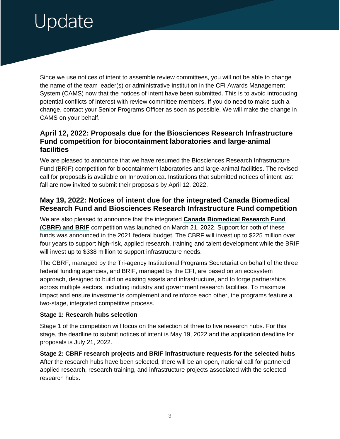Since we use notices of intent to assemble review committees, you will not be able to change the name of the team leader(s) or administrative institution in the CFI Awards Management System (CAMS) now that the notices of intent have been submitted. This is to avoid introducing potential conflicts of interest with review committee members. If you do need to make such a change, contact your Senior Programs Officer as soon as possible. We will make the change in CAMS on your behalf.

### <span id="page-2-0"></span>**April 12, 2022: Proposals due for the Biosciences Research Infrastructure Fund competition for biocontainment laboratories and large-animal facilities**

We are pleased to announce that we have resumed the Biosciences Research Infrastructure Fund (BRIF) competition for biocontainment laboratories and large-animal facilities. The revised call for proposals is available on Innovation.ca. Institutions that submitted notices of intent last fall are now invited to submit their proposals by April 12, 2022.

### <span id="page-2-1"></span>**May 19, 2022: Notices of intent due for the integrated Canada Biomedical Research Fund and Biosciences Research Infrastructure Fund competition**

We are also pleased to announce that the integrated **[Canada Biomedical Research Fund](https://can01.safelinks.protection.outlook.com/?url=https%3A%2F%2Fwww.sshrc-crsh.gc.ca%2Ffunding-financement%2Fcbrf-frbc%2Fcompetition-concours-eng.aspx%3Futm_source%3Dsshrc_website%26utm_campaign%3DCBRF_March_2022%26utm_medium%3Drss&data=04%7C01%7CMichelle.Paradis%40SSHRC-CRSH.GC.CA%7C61e06ba4793c415ba2c608da0c36f2df%7Cfbef079820e34be7bdc8372032610f65%7C1%7C0%7C637835727376920571%7CUnknown%7CTWFpbGZsb3d8eyJWIjoiMC4wLjAwMDAiLCJQIjoiV2luMzIiLCJBTiI6Ik1haWwiLCJXVCI6Mn0%3D%7C3000&sdata=2qhIOjCSsRoAHVPiaaxruxA8iIcRZTj6ULCjg%2F4kXgQ%3D&reserved=0)  [\(CBRF\) and BRIF](https://can01.safelinks.protection.outlook.com/?url=https%3A%2F%2Fwww.sshrc-crsh.gc.ca%2Ffunding-financement%2Fcbrf-frbc%2Fcompetition-concours-eng.aspx%3Futm_source%3Dsshrc_website%26utm_campaign%3DCBRF_March_2022%26utm_medium%3Drss&data=04%7C01%7CMichelle.Paradis%40SSHRC-CRSH.GC.CA%7C61e06ba4793c415ba2c608da0c36f2df%7Cfbef079820e34be7bdc8372032610f65%7C1%7C0%7C637835727376920571%7CUnknown%7CTWFpbGZsb3d8eyJWIjoiMC4wLjAwMDAiLCJQIjoiV2luMzIiLCJBTiI6Ik1haWwiLCJXVCI6Mn0%3D%7C3000&sdata=2qhIOjCSsRoAHVPiaaxruxA8iIcRZTj6ULCjg%2F4kXgQ%3D&reserved=0)** competition was launched on March 21, 2022. Support for both of these funds was announced in the 2021 federal budget. The CBRF will invest up to \$225 million over four years to support high-risk, applied research, training and talent development while the BRIF will invest up to \$338 million to support infrastructure needs.

The CBRF, managed by the Tri-agency Institutional Programs Secretariat on behalf of the three federal funding agencies, and BRIF, managed by the CFI, are based on an ecosystem approach, designed to build on existing assets and infrastructure, and to forge partnerships across multiple sectors, including industry and government research facilities. To maximize impact and ensure investments complement and reinforce each other, the programs feature a two-stage, integrated competitive process.

#### **Stage 1: Research hubs selection**

Stage 1 of the competition will focus on the selection of three to five research hubs. For this stage, the deadline to submit notices of intent is May 19, 2022 and the application deadline for proposals is July 21, 2022.

**Stage 2: CBRF research projects and BRIF infrastructure requests for the selected hubs** After the research hubs have been selected, there will be an open, national call for partnered applied research, research training, and infrastructure projects associated with the selected research hubs.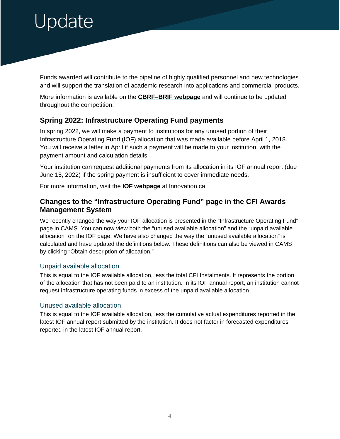Funds awarded will contribute to the pipeline of highly qualified personnel and new technologies and will support the translation of academic research into applications and commercial products.

More information is available on the **[CBRF–BRIF webpage](https://can01.safelinks.protection.outlook.com/?url=https%3A%2F%2Fwww.sshrc-crsh.gc.ca%2Ffunding-financement%2Fcbrf-frbc%2Fcompetition-concours-eng.aspx%3Futm_source%3Dsshrc_website%26utm_campaign%3DCBRF_March_2022%26utm_medium%3Drss&data=04%7C01%7CMichelle.Paradis%40SSHRC-CRSH.GC.CA%7C61e06ba4793c415ba2c608da0c36f2df%7Cfbef079820e34be7bdc8372032610f65%7C1%7C0%7C637835727376920571%7CUnknown%7CTWFpbGZsb3d8eyJWIjoiMC4wLjAwMDAiLCJQIjoiV2luMzIiLCJBTiI6Ik1haWwiLCJXVCI6Mn0%3D%7C3000&sdata=2qhIOjCSsRoAHVPiaaxruxA8iIcRZTj6ULCjg%2F4kXgQ%3D&reserved=0)** and will continue to be updated throughout the competition.

# <span id="page-3-0"></span>**Spring 2022: Infrastructure Operating Fund payments**

In spring 2022, we will make a payment to institutions for any unused portion of their Infrastructure Operating Fund (IOF) allocation that was made available before April 1, 2018. You will receive a letter in April if such a payment will be made to your institution, with the payment amount and calculation details.

Your institution can request additional payments from its allocation in its IOF annual report (due June 15, 2022) if the spring payment is insufficient to cover immediate needs.

For more information, visit the **[IOF webpage](https://www.innovation.ca/apply-manage-awards/infrastructure-operating-fund)** at Innovation.ca.

## <span id="page-3-1"></span>**Changes to the "Infrastructure Operating Fund" page in the CFI Awards Management System**

We recently changed the way your IOF allocation is presented in the "Infrastructure Operating Fund" page in CAMS. You can now view both the "unused available allocation" and the "unpaid available allocation" on the IOF page. We have also changed the way the "unused available allocation" is calculated and have updated the definitions below. These definitions can also be viewed in CAMS by clicking "Obtain description of allocation."

#### Unpaid available allocation

This is equal to the IOF available allocation, less the total CFI Instalments. It represents the portion of the allocation that has not been paid to an institution. In its IOF annual report, an institution cannot request infrastructure operating funds in excess of the unpaid available allocation.

#### Unused available allocation

<span id="page-3-2"></span>This is equal to the IOF available allocation, less the cumulative actual expenditures reported in the latest IOF annual report submitted by the institution. It does not factor in forecasted expenditures reported in the latest IOF annual report.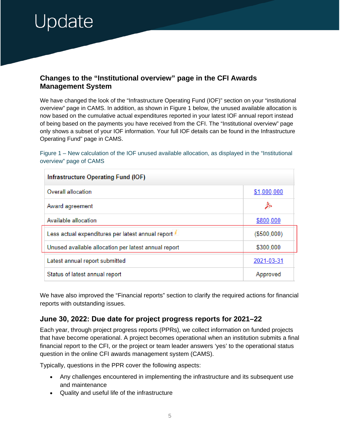# <span id="page-4-0"></span>Jpdate

### **Changes to the "Institutional overview" page in the CFI Awards Management System**

We have changed the look of the "Infrastructure Operating Fund (IOF)" section on your "institutional overview" page in CAMS. In addition, as shown in Figure 1 below, the unused available allocation is now based on the cumulative actual expenditures reported in your latest IOF annual report instead of being based on the payments you have received from the CFI. The "Institutional overview" page only shows a subset of your IOF information. Your full IOF details can be found in the Infrastructure Operating Fund" page in CAMS.

#### Figure 1 – New calculation of the IOF unused available allocation, as displayed in the "Institutional" overview" page of CAMS

| Infrastructure Operating Fund (IOF)                  |             |  |  |
|------------------------------------------------------|-------------|--|--|
| Overall allocation                                   | \$1,000,000 |  |  |
| Award agreement                                      | <i>≸</i>    |  |  |
| Available allocation                                 | \$800,000   |  |  |
| Less actual expenditures per latest annual report    | (\$500,000) |  |  |
| Unused available allocation per latest annual report | \$300,000   |  |  |
| Latest annual report submitted                       | 2021-03-31  |  |  |
| Status of latest annual report                       | Approved    |  |  |

We have also improved the "Financial reports" section to clarify the required actions for financial reports with outstanding issues.

### **June 30, 2022: Due date for project progress reports for 2021–22**

Each year, through project progress reports (PPRs), we collect information on funded projects that have become operational. A project becomes operational when an institution submits a final financial report to the CFI, or the project or team leader answers 'yes' to the operational status question in the online CFI awards management system (CAMS).

Typically, questions in the PPR cover the following aspects:

- Any challenges encountered in implementing the infrastructure and its subsequent use and maintenance
- Quality and useful life of the infrastructure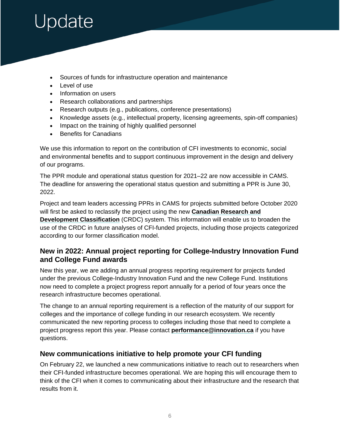# <span id="page-5-1"></span>Jpdate

- Sources of funds for infrastructure operation and maintenance
- Level of use
- Information on users
- Research collaborations and partnerships
- Research outputs (e.g., publications, conference presentations)
- Knowledge assets (e.g., intellectual property, licensing agreements, spin-off companies)
- Impact on the training of highly qualified personnel
- Benefits for Canadians

We use this information to report on the contribution of CFI investments to economic, social and environmental benefits and to support continuous improvement in the design and delivery of our programs.

The PPR module and operational status question for 2021–22 are now accessible in CAMS. The deadline for answering the operational status question and submitting a PPR is June 30, 2022.

Project and team leaders accessing PPRs in CAMS for projects submitted before October 2020 will first be asked to reclassify the project using the new **[Canadian Research and](https://www.innovation.ca/apply-manage-awards/canadian-research-development-classification-crdc)  [Development Classification](https://www.innovation.ca/apply-manage-awards/canadian-research-development-classification-crdc)** (CRDC) system. This information will enable us to broaden the use of the CRDC in future analyses of CFI-funded projects, including those projects categorized according to our former classification model.

### <span id="page-5-0"></span>**New in 2022: Annual project reporting for College-Industry Innovation Fund and College Fund awards**

New this year, we are adding an annual progress reporting requirement for projects funded under the previous College-Industry Innovation Fund and the new College Fund. Institutions now need to complete a project progress report annually for a period of four years once the research infrastructure becomes operational.

The change to an annual reporting requirement is a reflection of the maturity of our support for colleges and the importance of college funding in our research ecosystem. We recently communicated the new reporting process to colleges including those that need to complete a project progress report this year. Please contact **[performance@innovation.ca](mailto:performance@innovation.ca)** if you have questions.

#### **New communications initiative to help promote your CFI funding**

On February 22, we launched a new communications initiative to reach out to researchers when their CFI-funded infrastructure becomes operational. We are hoping this will encourage them to think of the CFI when it comes to communicating about their infrastructure and the research that results from it.